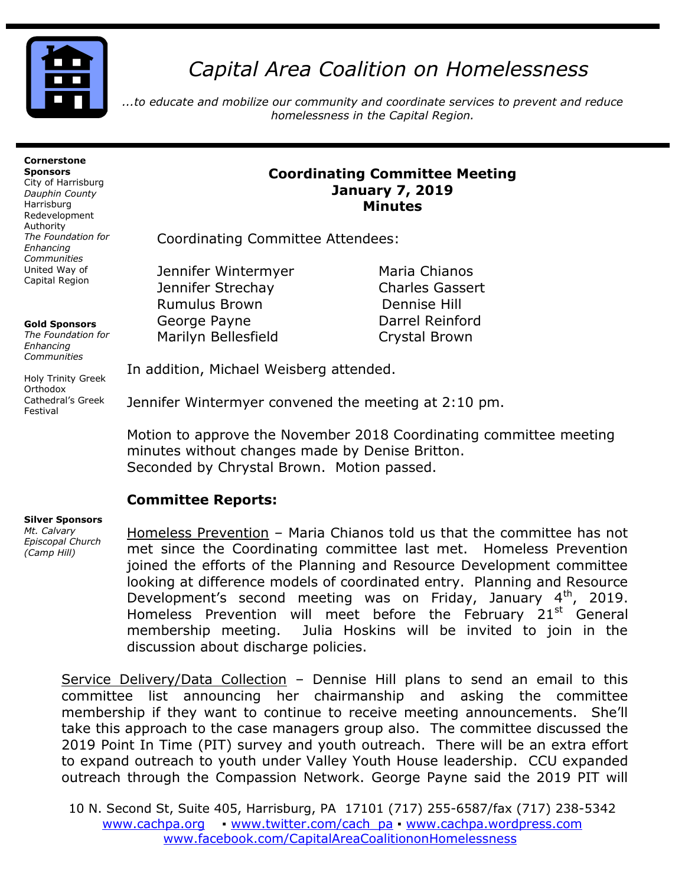

# *Capital Area Coalition on Homelessness*

*...to educate and mobilize our community and coordinate services to prevent and reduce homelessness in the Capital Region.*

#### **Cornerstone Sponsors**

City of Harrisburg *Dauphin County* Harrisburg Redevelopment Authority *The Foundation for Enhancing Communities* United Way of Capital Region

#### **Gold Sponsors**

*The Foundation for Enhancing Communities*

Holy Trinity Greek Orthodox Cathedral's Greek Festival

#### **Coordinating Committee Meeting January 7, 2019 Minutes**

Coordinating Committee Attendees:

Jennifer Wintermyer Maria Chianos Jennifer Strechay Charles Gassert Rumulus Brown Dennise Hill George Payne **Darrel Reinford** Marilyn Bellesfield **Crystal Brown** 

In addition, Michael Weisberg attended.

Jennifer Wintermyer convened the meeting at 2:10 pm.

Motion to approve the November 2018 Coordinating committee meeting minutes without changes made by Denise Britton. Seconded by Chrystal Brown. Motion passed.

# **Committee Reports:**

#### **Silver Sponsors**  *Mt. Calvary*

*Episcopal Church (Camp Hill)*

Homeless Prevention – Maria Chianos told us that the committee has not met since the Coordinating committee last met. Homeless Prevention joined the efforts of the Planning and Resource Development committee looking at difference models of coordinated entry. Planning and Resource Development's second meeting was on Friday, January  $4<sup>th</sup>$ , 2019. Homeless Prevention will meet before the February 21<sup>st</sup> General membership meeting. Julia Hoskins will be invited to join in the discussion about discharge policies.

Service Delivery/Data Collection – Dennise Hill plans to send an email to this committee list announcing her chairmanship and asking the committee membership if they want to continue to receive meeting announcements. She'll take this approach to the case managers group also. The committee discussed the 2019 Point In Time (PIT) survey and youth outreach. There will be an extra effort to expand outreach to youth under Valley Youth House leadership. CCU expanded outreach through the Compassion Network. George Payne said the 2019 PIT will

10 N. Second St, Suite 405, Harrisburg, PA 17101 (717) 255-6587/fax (717) 238-5342 [www.cachpa.org](http://www.cachpa.org/) • [www.twitter.com/cach\\_pa](http://www.twitter.com/cach_pa) • [www.cachpa.wordpress.com](http://www.cachpa.wordpress.com/) [www.facebook.com/CapitalAreaCoalitiononHomelessness](http://www.facebook.com/CapitalAreaCoalitiononHomelessness)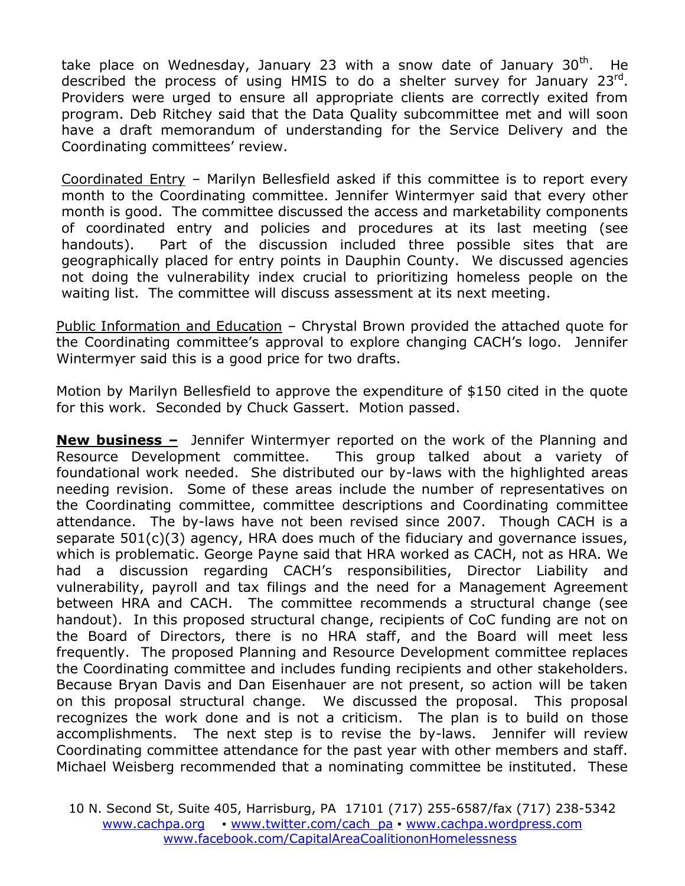take place on Wednesday, January 23 with a snow date of January 30<sup>th</sup>. He described the process of using HMIS to do a shelter survey for January 23rd. Providers were urged to ensure all appropriate clients are correctly exited from program. Deb Ritchey said that the Data Quality subcommittee met and will soon have a draft memorandum of understanding for the Service Delivery and the Coordinating committees' review.

Coordinated Entry – Marilyn Bellesfield asked if this committee is to report every month to the Coordinating committee. Jennifer Wintermyer said that every other month is good. The committee discussed the access and marketability components of coordinated entry and policies and procedures at its last meeting (see handouts). Part of the discussion included three possible sites that are geographically placed for entry points in Dauphin County. We discussed agencies not doing the vulnerability index crucial to prioritizing homeless people on the waiting list. The committee will discuss assessment at its next meeting.

Public Information and Education – Chrystal Brown provided the attached quote for the Coordinating committee's approval to explore changing CACH's logo. Jennifer Wintermyer said this is a good price for two drafts.

Motion by Marilyn Bellesfield to approve the expenditure of \$150 cited in the quote for this work. Seconded by Chuck Gassert. Motion passed.

**New business –** Jennifer Wintermyer reported on the work of the Planning and Resource Development committee. This group talked about a variety of foundational work needed. She distributed our by-laws with the highlighted areas needing revision. Some of these areas include the number of representatives on the Coordinating committee, committee descriptions and Coordinating committee attendance. The by-laws have not been revised since 2007. Though CACH is a separate 501(c)(3) agency, HRA does much of the fiduciary and governance issues, which is problematic. George Payne said that HRA worked as CACH, not as HRA. We had a discussion regarding CACH's responsibilities, Director Liability and vulnerability, payroll and tax filings and the need for a Management Agreement between HRA and CACH. The committee recommends a structural change (see handout). In this proposed structural change, recipients of CoC funding are not on the Board of Directors, there is no HRA staff, and the Board will meet less frequently. The proposed Planning and Resource Development committee replaces the Coordinating committee and includes funding recipients and other stakeholders. Because Bryan Davis and Dan Eisenhauer are not present, so action will be taken on this proposal structural change. We discussed the proposal. This proposal recognizes the work done and is not a criticism. The plan is to build on those accomplishments. The next step is to revise the by-laws. Jennifer will review Coordinating committee attendance for the past year with other members and staff. Michael Weisberg recommended that a nominating committee be instituted. These

10 N. Second St, Suite 405, Harrisburg, PA 17101 (717) 255-6587/fax (717) 238-5342 [www.cachpa.org](http://www.cachpa.org/) • [www.twitter.com/cach\\_pa](http://www.twitter.com/cach_pa) • [www.cachpa.wordpress.com](http://www.cachpa.wordpress.com/) [www.facebook.com/CapitalAreaCoalitiononHomelessness](http://www.facebook.com/CapitalAreaCoalitiononHomelessness)